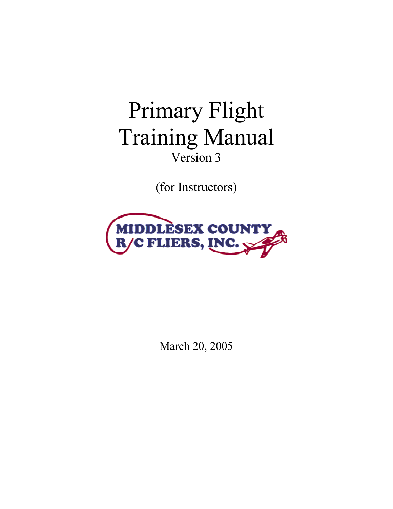# Primary Flight Training Manual Version 3

(for Instructors)



March 20, 2005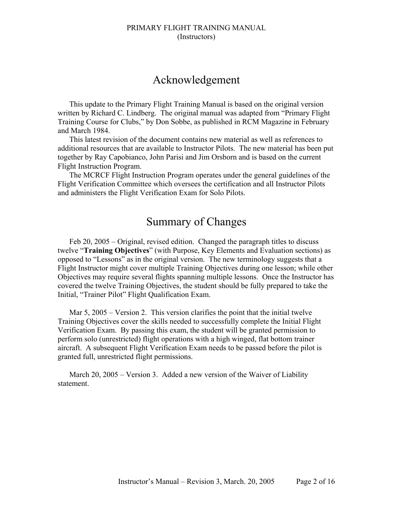# Acknowledgement

This update to the Primary Flight Training Manual is based on the original version written by Richard C. Lindberg. The original manual was adapted from "Primary Flight Training Course for Clubs," by Don Sobbe, as published in RCM Magazine in February and March 1984.

This latest revision of the document contains new material as well as references to additional resources that are available to Instructor Pilots. The new material has been put together by Ray Capobianco, John Parisi and Jim Orsborn and is based on the current Flight Instruction Program.

The MCRCF Flight Instruction Program operates under the general guidelines of the Flight Verification Committee which oversees the certification and all Instructor Pilots and administers the Flight Verification Exam for Solo Pilots.

# Summary of Changes

Feb 20, 2005 – Original, revised edition. Changed the paragraph titles to discuss twelve "**Training Objectives**" (with Purpose, Key Elements and Evaluation sections) as opposed to "Lessons" as in the original version. The new terminology suggests that a Flight Instructor might cover multiple Training Objectives during one lesson; while other Objectives may require several flights spanning multiple lessons. Once the Instructor has covered the twelve Training Objectives, the student should be fully prepared to take the Initial, "Trainer Pilot" Flight Qualification Exam.

Mar 5, 2005 – Version 2. This version clarifies the point that the initial twelve Training Objectives cover the skills needed to successfully complete the Initial Flight Verification Exam. By passing this exam, the student will be granted permission to perform solo (unrestricted) flight operations with a high winged, flat bottom trainer aircraft. A subsequent Flight Verification Exam needs to be passed before the pilot is granted full, unrestricted flight permissions.

March 20, 2005 – Version 3. Added a new version of the Waiver of Liability statement.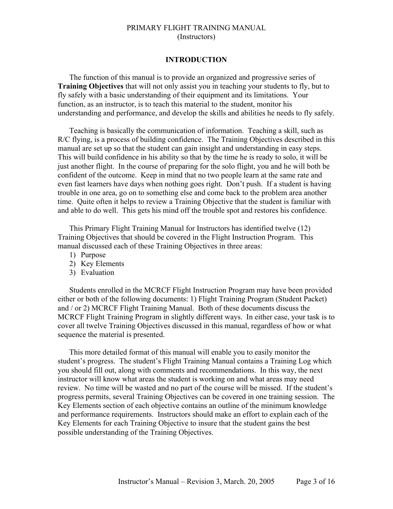#### **INTRODUCTION**

The function of this manual is to provide an organized and progressive series of **Training Objectives** that will not only assist you in teaching your students to fly, but to fly safely with a basic understanding of their equipment and its limitations. Your function, as an instructor, is to teach this material to the student, monitor his understanding and performance, and develop the skills and abilities he needs to fly safely.

Teaching is basically the communication of information. Teaching a skill, such as R/C flying, is a process of building confidence. The Training Objectives described in this manual are set up so that the student can gain insight and understanding in easy steps. This will build confidence in his ability so that by the time he is ready to solo, it will be just another flight. In the course of preparing for the solo flight, you and he will both be confident of the outcome. Keep in mind that no two people learn at the same rate and even fast learners have days when nothing goes right. Don't push. If a student is having trouble in one area, go on to something else and come back to the problem area another time. Quite often it helps to review a Training Objective that the student is familiar with and able to do well. This gets his mind off the trouble spot and restores his confidence.

This Primary Flight Training Manual for Instructors has identified twelve (12) Training Objectives that should be covered in the Flight Instruction Program. This manual discussed each of these Training Objectives in three areas:

- 1) Purpose
- 2) Key Elements
- 3) Evaluation

Students enrolled in the MCRCF Flight Instruction Program may have been provided either or both of the following documents: 1) Flight Training Program (Student Packet) and / or 2) MCRCF Flight Training Manual. Both of these documents discuss the MCRCF Flight Training Program in slightly different ways. In either case, your task is to cover all twelve Training Objectives discussed in this manual, regardless of how or what sequence the material is presented.

This more detailed format of this manual will enable you to easily monitor the student's progress. The student's Flight Training Manual contains a Training Log which you should fill out, along with comments and recommendations. In this way, the next instructor will know what areas the student is working on and what areas may need review. No time will be wasted and no part of the course will be missed. If the student's progress permits, several Training Objectives can be covered in one training session. The Key Elements section of each objective contains an outline of the minimum knowledge and performance requirements. Instructors should make an effort to explain each of the Key Elements for each Training Objective to insure that the student gains the best possible understanding of the Training Objectives.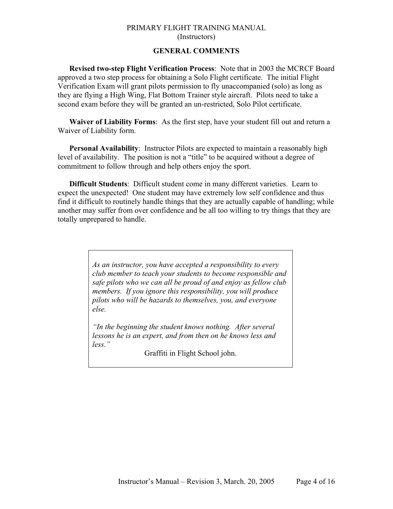# **GENERAL COMMENTS**

**Revised two-step Flight Verification Process**: Note that in 2003 the MCRCF Board approved a two step process for obtaining a Solo Flight certificate. The initial Flight Verification Exam will grant pilots permission to fly unaccompanied (solo) as long as they are flying a High Wing, Flat Bottom Trainer style aircraft. Pilots need to take a second exam before they will be granted an un-restricted, Solo Pilot certificate.

**Waiver of Liability Forms**: As the first step, have your student fill out and return a Waiver of Liability form.

**Personal Availability**: Instructor Pilots are expected to maintain a reasonably high level of availability. The position is not a "title" to be acquired without a degree of commitment to follow through and help others enjoy the sport.

**Difficult Students**: Difficult student come in many different varieties. Learn to expect the unexpected! One student may have extremely low self confidence and thus find it difficult to routinely handle things that they are actually capable of handling; while another may suffer from over confidence and be all too willing to try things that they are totally unprepared to handle.

> *As an instructor, you have accepted a responsibility to every club member to teach your students to become responsible and safe pilots who we can all be proud of and enjoy as fellow club members. If you ignore this responsibility, you will produce pilots who will be hazards to themselves, you, and everyone else.*

*"In the beginning the student knows nothing. After several lessons he is an expert, and from then on he knows less and less."* 

Graffiti in Flight School john.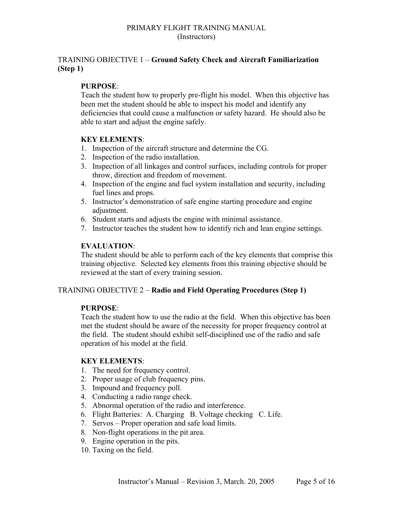# TRAINING OBJECTIVE 1 – **Ground Safety Check and Aircraft Familiarization (Step 1)**

# **PURPOSE**:

Teach the student how to properly pre-flight his model. When this objective has been met the student should be able to inspect his model and identify any deficiencies that could cause a malfunction or safety hazard. He should also be able to start and adjust the engine safely.

# **KEY ELEMENTS**:

- 1. Inspection of the aircraft structure and determine the CG.
- 2. Inspection of the radio installation.
- 3. Inspection of all linkages and control surfaces, including controls for proper throw, direction and freedom of movement.
- 4. Inspection of the engine and fuel system installation and security, including fuel lines and props.
- 5. Instructor's demonstration of safe engine starting procedure and engine adjustment.
- 6. Student starts and adjusts the engine with minimal assistance.
- 7. Instructor teaches the student how to identify rich and lean engine settings.

# **EVALUATION**:

The student should be able to perform each of the key elements that comprise this training objective. Selected key elements from this training objective should be reviewed at the start of every training session.

# TRAINING OBJECTIVE 2 – **Radio and Field Operating Procedures (Step 1)**

# **PURPOSE**:

Teach the student how to use the radio at the field. When this objective has been met the student should be aware of the necessity for proper frequency control at the field. The student should exhibit self-disciplined use of the radio and safe operation of his model at the field.

# **KEY ELEMENTS**:

- 1. The need for frequency control.
- 2. Proper usage of club frequency pins.
- 3. Impound and frequency poll.
- 4. Conducting a radio range check.
- 5. Abnormal operation of the radio and interference.
- 6. Flight Batteries: A. Charging B. Voltage checking C. Life.
- 7. Servos Proper operation and safe load limits.
- 8. Non-flight operations in the pit area.
- 9. Engine operation in the pits.
- 10. Taxing on the field.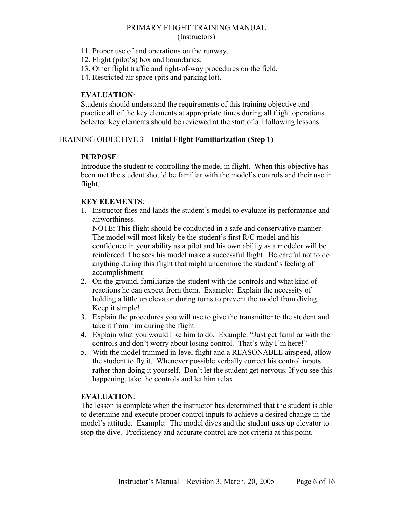- 11. Proper use of and operations on the runway.
- 12. Flight (pilot's) box and boundaries.
- 13. Other flight traffic and right-of-way procedures on the field.
- 14. Restricted air space (pits and parking lot).

# **EVALUATION**:

Students should understand the requirements of this training objective and practice all of the key elements at appropriate times during all flight operations. Selected key elements should be reviewed at the start of all following lessons.

# TRAINING OBJECTIVE 3 – **Initial Flight Familiarization (Step 1)**

# **PURPOSE**:

Introduce the student to controlling the model in flight. When this objective has been met the student should be familiar with the model's controls and their use in flight.

# **KEY ELEMENTS**:

1. Instructor flies and lands the student's model to evaluate its performance and airworthiness.

NOTE: This flight should be conducted in a safe and conservative manner. The model will most likely be the student's first R/C model and his confidence in your ability as a pilot and his own ability as a modeler will be reinforced if he sees his model make a successful flight. Be careful not to do anything during this flight that might undermine the student's feeling of accomplishment

- 2. On the ground, familiarize the student with the controls and what kind of reactions he can expect from them. Example: Explain the necessity of holding a little up elevator during turns to prevent the model from diving. Keep it simple!
- 3. Explain the procedures you will use to give the transmitter to the student and take it from him during the flight.
- 4. Explain what you would like him to do. Example: "Just get familiar with the controls and don't worry about losing control. That's why I'm here!"
- 5. With the model trimmed in level flight and a REASONABLE airspeed, allow the student to fly it. Whenever possible verbally correct his control inputs rather than doing it yourself. Don't let the student get nervous. If you see this happening, take the controls and let him relax.

# **EVALUATION**:

The lesson is complete when the instructor has determined that the student is able to determine and execute proper control inputs to achieve a desired change in the model's attitude. Example: The model dives and the student uses up elevator to stop the dive. Proficiency and accurate control are not criteria at this point.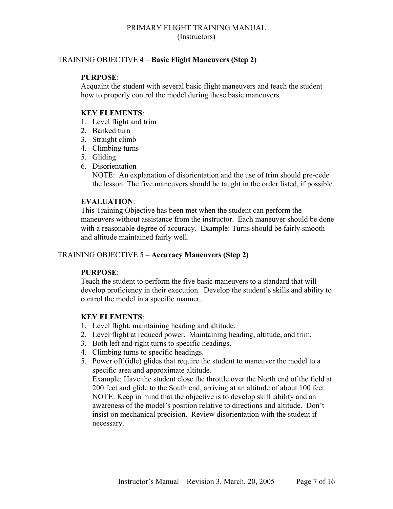# TRAINING OBJECTIVE 4 – **Basic Flight Maneuvers (Step 2)**

# **PURPOSE**:

Acquaint the student with several basic flight maneuvers and teach the student how to properly control the model during these basic maneuvers.

# **KEY ELEMENTS**:

- 1. Level flight and trim
- 2. Banked turn
- 3. Straight climb
- 4. Climbing turns
- 5. Gliding
- 6. Disorientation

NOTE: An explanation of disorientation and the use of trim should pre-cede the lesson. The five maneuvers should be taught in the order listed, if possible.

# **EVALUATION**:

This Training Objective has been met when the student can perform the maneuvers without assistance from the instructor. Each maneuver should be done with a reasonable degree of accuracy. Example: Turns should be fairly smooth and altitude maintained fairly well.

# TRAINING OBJECTIVE 5 – **Accuracy Maneuvers (Step 2)**

# **PURPOSE**:

Teach the student to perform the five basic maneuvers to a standard that will develop proficiency in their execution. Develop the student's skills and ability to control the model in a specific manner.

# **KEY ELEMENTS**:

- 1. Level flight, maintaining heading and altitude.
- 2. Level flight at reduced power. Maintaining heading, altitude, and trim.
- 3. Both left and right turns to specific headings.
- 4. Climbing turns to specific headings.
- 5. Power off (idle) glides that require the student to maneuver the model to a specific area and approximate altitude.

Example: Have the student close the throttle over the North end of the field at 200 feet and glide to the South end, arriving at an altitude of about 100 feet. NOTE: Keep in mind that the objective is to develop skill .ability and an awareness of the model's position relative to directions and altitude. Don't insist on mechanical precision. Review disorientation with the student if necessary.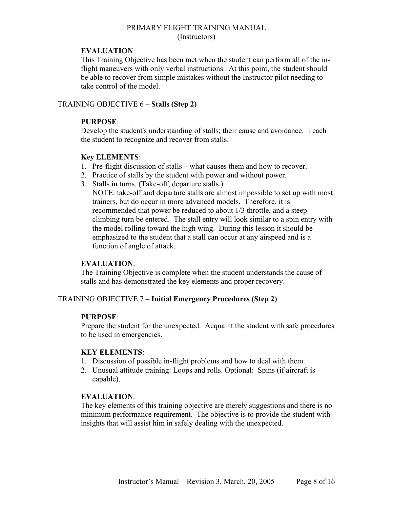# **EVALUATION**:

This Training Objective has been met when the student can perform all of the inflight maneuvers with only verbal instructions. At this point, the student should be able to recover from simple mistakes without the Instructor pilot needing to take control of the model.

# TRAINING OBJECTIVE 6 – **Stalls (Step 2)**

# **PURPOSE**:

Develop the student's understanding of stalls; their cause and avoidance. Teach the student to recognize and recover from stalls.

# **Key ELEMENTS**:

- 1. Pre-flight discussion of stalls what causes them and how to recover.
- 2. Practice of stalls by the student with power and without power.
- 3. Stalls in turns. (Take-off, departure stalls.)

NOTE: take-off and departure stalls are almost impossible to set up with most trainers, but do occur in more advanced models. Therefore, it is recommended that power be reduced to about 1/3 throttle, and a steep climbing turn be entered. The stall entry will look similar to a spin entry with the model rolling toward the high wing. During this lesson it should be emphasized to the student that a stall can occur at any airspeed and is a function of angle of attack.

# **EVALUATION**:

The Training Objective is complete when the student understands the cause of stalls and has demonstrated the key elements and proper recovery.

# TRAINING OBJECTIVE 7 – **Initial Emergency Procedures (Step 2)**

# **PURPOSE**:

Prepare the student for the unexpected. Acquaint the student with safe procedures to be used in emergencies.

# **KEY ELEMENTS**:

- 1. Discussion of possible in-flight problems and how to deal with them.
- 2. Unusual attitude training: Loops and rolls. Optional: Spins (if aircraft is capable).

# **EVALUATION**:

The key elements of this training objective are merely suggestions and there is no minimum performance requirement. The objective is to provide the student with insights that will assist him in safely dealing with the unexpected.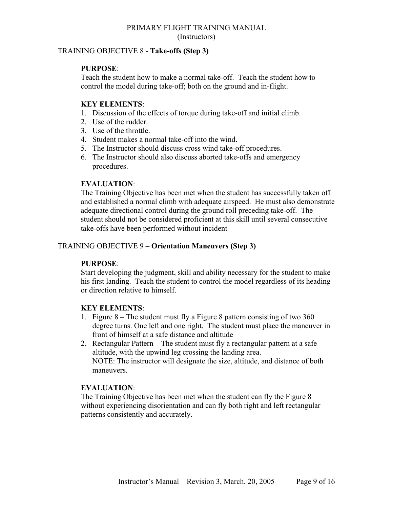# TRAINING OBJECTIVE 8 - **Take-offs (Step 3)**

# **PURPOSE**:

Teach the student how to make a normal take-off. Teach the student how to control the model during take-off; both on the ground and in-flight.

# **KEY ELEMENTS**:

- 1. Discussion of the effects of torque during take-off and initial climb.
- 2. Use of the rudder.
- 3. Use of the throttle.
- 4. Student makes a normal take-off into the wind.
- 5. The Instructor should discuss cross wind take-off procedures.
- 6. The Instructor should also discuss aborted take-offs and emergency procedures.

# **EVALUATION**:

The Training Objective has been met when the student has successfully taken off and established a normal climb with adequate airspeed. He must also demonstrate adequate directional control during the ground roll preceding take-off. The student should not be considered proficient at this skill until several consecutive take-offs have been performed without incident

# TRAINING OBJECTIVE 9 – **Orientation Maneuvers (Step 3)**

# **PURPOSE**:

Start developing the judgment, skill and ability necessary for the student to make his first landing. Teach the student to control the model regardless of its heading or direction relative to himself.

# **KEY ELEMENTS**:

- 1. Figure 8 The student must fly a Figure 8 pattern consisting of two 360 degree turns. One left and one right. The student must place the maneuver in front of himself at a safe distance and altitude
- 2. Rectangular Pattern The student must fly a rectangular pattern at a safe altitude, with the upwind leg crossing the landing area. NOTE: The instructor will designate the size, altitude, and distance of both maneuvers.

# **EVALUATION**:

The Training Objective has been met when the student can fly the Figure 8 without experiencing disorientation and can fly both right and left rectangular patterns consistently and accurately.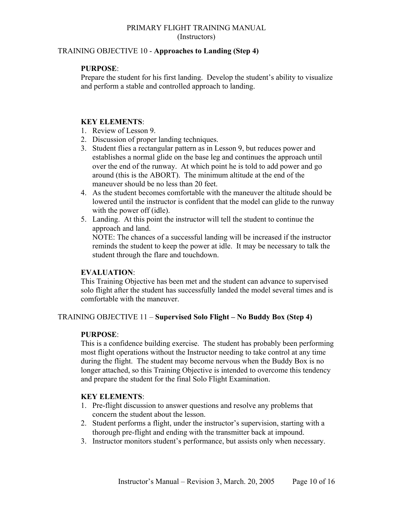# TRAINING OBJECTIVE 10 - **Approaches to Landing (Step 4)**

# **PURPOSE**:

Prepare the student for his first landing. Develop the student's ability to visualize and perform a stable and controlled approach to landing.

# **KEY ELEMENTS**:

- 1. Review of Lesson 9.
- 2. Discussion of proper landing techniques.
- 3. Student flies a rectangular pattern as in Lesson 9, but reduces power and establishes a normal glide on the base leg and continues the approach until over the end of the runway. At which point he is told to add power and go around (this is the ABORT). The minimum altitude at the end of the maneuver should be no less than 20 feet.
- 4. As the student becomes comfortable with the maneuver the altitude should be lowered until the instructor is confident that the model can glide to the runway with the power off (idle).
- 5. Landing. At this point the instructor will tell the student to continue the approach and land.

NOTE: The chances of a successful landing will be increased if the instructor reminds the student to keep the power at idle. It may be necessary to talk the student through the flare and touchdown.

# **EVALUATION**:

This Training Objective has been met and the student can advance to supervised solo flight after the student has successfully landed the model several times and is comfortable with the maneuver.

# TRAINING OBJECTIVE 11 – **Supervised Solo Flight – No Buddy Box (Step 4)**

# **PURPOSE**:

This is a confidence building exercise. The student has probably been performing most flight operations without the Instructor needing to take control at any time during the flight. The student may become nervous when the Buddy Box is no longer attached, so this Training Objective is intended to overcome this tendency and prepare the student for the final Solo Flight Examination.

# **KEY ELEMENTS**:

- 1. Pre-flight discussion to answer questions and resolve any problems that concern the student about the lesson.
- 2. Student performs a flight, under the instructor's supervision, starting with a thorough pre-flight and ending with the transmitter back at impound.
- 3. Instructor monitors student's performance, but assists only when necessary.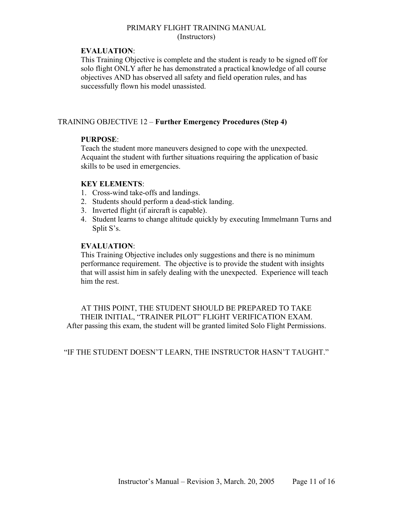# **EVALUATION**:

This Training Objective is complete and the student is ready to be signed off for solo flight ONLY after he has demonstrated a practical knowledge of all course objectives AND has observed all safety and field operation rules, and has successfully flown his model unassisted.

# TRAINING OBJECTIVE 12 – **Further Emergency Procedures (Step 4)**

# **PURPOSE**:

Teach the student more maneuvers designed to cope with the unexpected. Acquaint the student with further situations requiring the application of basic skills to be used in emergencies.

# **KEY ELEMENTS**:

- 1. Cross-wind take-offs and landings.
- 2. Students should perform a dead-stick landing.
- 3. Inverted flight (if aircraft is capable).
- 4. Student learns to change altitude quickly by executing Immelmann Turns and Split S's.

# **EVALUATION**:

This Training Objective includes only suggestions and there is no minimum performance requirement. The objective is to provide the student with insights that will assist him in safely dealing with the unexpected. Experience will teach him the rest.

AT THIS POINT, THE STUDENT SHOULD BE PREPARED TO TAKE THEIR INITIAL, "TRAINER PILOT" FLIGHT VERIFICATION EXAM. After passing this exam, the student will be granted limited Solo Flight Permissions.

"IF THE STUDENT DOESN'T LEARN, THE INSTRUCTOR HASN'T TAUGHT."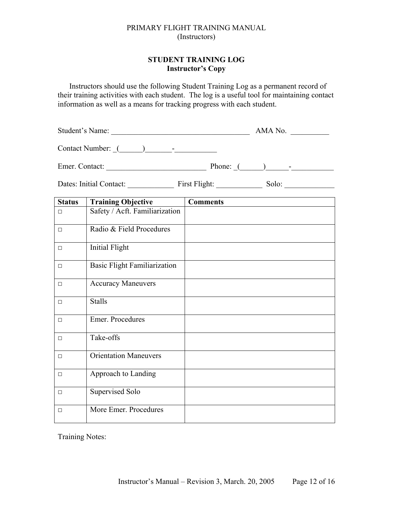# **STUDENT TRAINING LOG Instructor's Copy**

Instructors should use the following Student Training Log as a permanent record of their training activities with each student. The log is a useful tool for maintaining contact information as well as a means for tracking progress with each student.

Student's Name:  $\blacksquare$  AMA No.

Contact Number:  $($ 

Emer. Contact: \_\_\_\_\_\_\_\_\_\_\_\_\_\_\_\_\_\_\_\_\_\_\_\_\_\_ Phone: \_(\_\_\_\_\_\_)\_\_\_\_\_\_-\_\_\_\_\_\_\_\_\_\_\_

Dates: Initial Contact: \_\_\_\_\_\_\_\_\_\_\_\_ First Flight: \_\_\_\_\_\_\_\_\_\_\_\_ Solo: \_\_\_\_\_\_\_\_\_\_\_\_\_

| <b>Status</b> | <b>Training Objective</b>           | <b>Comments</b> |
|---------------|-------------------------------------|-----------------|
| $\Box$        | Safety / Acft. Familiarization      |                 |
| $\Box$        | Radio & Field Procedures            |                 |
| $\Box$        | <b>Initial Flight</b>               |                 |
| $\Box$        | <b>Basic Flight Familiarization</b> |                 |
| $\Box$        | <b>Accuracy Maneuvers</b>           |                 |
| $\Box$        | <b>Stalls</b>                       |                 |
| $\Box$        | Emer. Procedures                    |                 |
| $\Box$        | Take-offs                           |                 |
| $\Box$        | <b>Orientation Maneuvers</b>        |                 |
| $\Box$        | Approach to Landing                 |                 |
| $\Box$        | Supervised Solo                     |                 |
| $\Box$        | More Emer. Procedures               |                 |

Training Notes: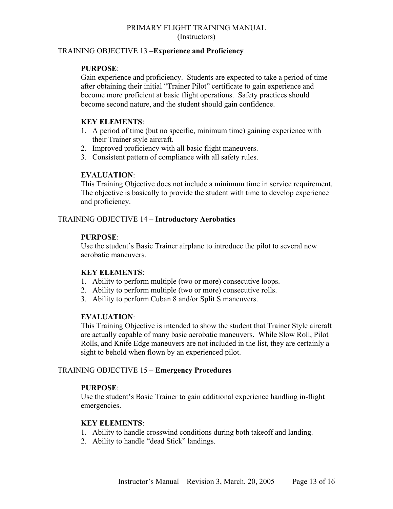# TRAINING OBJECTIVE 13 –**Experience and Proficiency**

# **PURPOSE**:

Gain experience and proficiency. Students are expected to take a period of time after obtaining their initial "Trainer Pilot" certificate to gain experience and become more proficient at basic flight operations. Safety practices should become second nature, and the student should gain confidence.

# **KEY ELEMENTS**:

- 1. A period of time (but no specific, minimum time) gaining experience with their Trainer style aircraft.
- 2. Improved proficiency with all basic flight maneuvers.
- 3. Consistent pattern of compliance with all safety rules.

# **EVALUATION**:

This Training Objective does not include a minimum time in service requirement. The objective is basically to provide the student with time to develop experience and proficiency.

# TRAINING OBJECTIVE 14 – **Introductory Aerobatics**

# **PURPOSE**:

Use the student's Basic Trainer airplane to introduce the pilot to several new aerobatic maneuvers.

# **KEY ELEMENTS**:

- 1. Ability to perform multiple (two or more) consecutive loops.
- 2. Ability to perform multiple (two or more) consecutive rolls.
- 3. Ability to perform Cuban 8 and/or Split S maneuvers.

# **EVALUATION**:

This Training Objective is intended to show the student that Trainer Style aircraft are actually capable of many basic aerobatic maneuvers. While Slow Roll, Pilot Rolls, and Knife Edge maneuvers are not included in the list, they are certainly a sight to behold when flown by an experienced pilot.

# TRAINING OBJECTIVE 15 – **Emergency Procedures**

# **PURPOSE**:

Use the student's Basic Trainer to gain additional experience handling in-flight emergencies.

# **KEY ELEMENTS**:

- 1. Ability to handle crosswind conditions during both takeoff and landing.
- 2. Ability to handle "dead Stick" landings.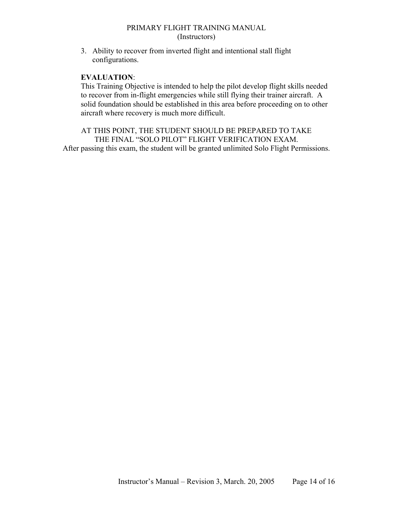3. Ability to recover from inverted flight and intentional stall flight configurations.

# **EVALUATION**:

This Training Objective is intended to help the pilot develop flight skills needed to recover from in-flight emergencies while still flying their trainer aircraft. A solid foundation should be established in this area before proceeding on to other aircraft where recovery is much more difficult.

AT THIS POINT, THE STUDENT SHOULD BE PREPARED TO TAKE THE FINAL "SOLO PILOT" FLIGHT VERIFICATION EXAM. After passing this exam, the student will be granted unlimited Solo Flight Permissions.